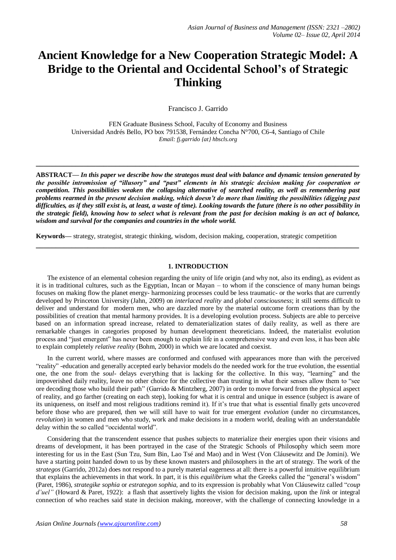# **Ancient Knowledge for a New Cooperation Strategic Model: A Bridge to the Oriental and Occidental School's of Strategic Thinking**

Francisco J. Garrido

FEN Graduate Business School, Faculty of Economy and Business Universidad Andrés Bello, PO box 791538, Fernández Concha N°700, C6-4, Santiago of Chile *Email: fj.garrido {at} hbscls.org*

**\_\_\_\_\_\_\_\_\_\_\_\_\_\_\_\_\_\_\_\_\_\_\_\_\_\_\_\_\_\_\_\_\_\_\_\_\_\_\_\_\_\_\_\_\_\_\_\_\_\_\_\_\_\_\_\_\_\_\_\_\_\_\_\_\_\_\_\_\_\_\_\_\_\_\_\_\_\_\_\_\_**

**ABSTRACT—** *In this paper we describe how the strategos must deal with balance and dynamic tension generated by the possible intromission of "illusory" and "past" elements in his strategic decision making for cooperation or competition. This possibilities weaken the collapsing alternative of searched reality, as well as remembering past problems rearmed in the present decision making, which doesn't do more than limiting the possibilities (digging past difficulties, as if they still exist is, at least, a waste of time). Looking towards the future (there is no other possibility in the strategic field), knowing how to select what is relevant from the past for decision making is an act of balance, wisdom and survival for the companies and countries in the whole world.*

**Keywords—** strategy, strategist, strategic thinking, wisdom, decision making, cooperation, strategic competition

#### **1. INTRODUCTION**

**\_\_\_\_\_\_\_\_\_\_\_\_\_\_\_\_\_\_\_\_\_\_\_\_\_\_\_\_\_\_\_\_\_\_\_\_\_\_\_\_\_\_\_\_\_\_\_\_\_\_\_\_\_\_\_\_\_\_\_\_\_\_\_\_\_\_\_\_\_\_\_\_\_\_\_\_\_\_\_\_\_**

The existence of an elemental cohesion regarding the unity of life origin (and why not, also its ending), as evident as it is in traditional cultures, such as the Egyptian, Incan or Mayan – to whom if the conscience of many human beings focuses on making flow the planet energy- harmonizing processes could be less traumatic- or the works that are currently developed by Princeton University (Jahn, 2009) on *interlaced reality* and *global consciousness*; it still seems difficult to deliver and understand for modern men, who are dazzled more by the material outcome form creations than by the possibilities of creation that mental harmony provides. It is a developing evolution process. Subjects are able to perceive based on an information spread increase, related to dematerialization states of daily reality, as well as there are remarkable changes in categories proposed by human development theoreticians. Indeed, the materialist evolution process and "just emergent" has never been enough to explain life in a comprehensive way and even less, it has been able to explain completely *relative reality* (Bohm, 2000) in which we are located and coexist.

In the current world, where masses are conformed and confused with appearances more than with the perceived "reality" -education and generally accepted early behavior models do the needed work for the true evolution, the essential one, the one from the *soul*- delays everything that is lacking for the collective. In this way, "learning" and the impoverished daily reality, leave no other choice for the collective than trusting in what their senses allow them to "see ore decoding those who build their path" (Garrido & Mintzberg, 2007) in order to move forward from the physical aspect of reality, and go farther (creating on each step), looking for what it is central and unique in essence (subject is aware of its uniqueness, on itself and most religious traditions remind it). If it's true that what is essential finally gets uncovered before those who are prepared, then we will still have to wait for true emergent *evolution* (under no circumstances, *revolution*) in women and men who study, work and make decisions in a modern world, dealing with an understandable delay within the so called "occidental world".

Considering that the transcendent essence that pushes subjects to materialize their energies upon their visions and dreams of development, it has been portrayed in the case of the Strategic Schools of Philosophy which seem more interesting for us in the East (Sun Tzu, Sum Bin, Lao Tsé and Mao) and in West (Von Cláusewitz and De Jomini). We have a starting point handed down to us by these known masters and philosophers in the art of strategy. The work of the *strategos* (Garrido, 2012a) does not respond to a purely material eagerness at all: there is a powerful intuitive equilibrium that explains the achievements in that work. In part, it is this *equilibrium* what the Greeks called the "general's wisdom" (Paret, 1986), *strategike sophia* or *estrategon sophia*, and to its expression is probably what Von Cláusewitz called "*coup d'uel"* (Howard & Paret, 1922): a flash that assertively lights the vision for decision making, upon the *link* or integral connection of who reaches said state in decision making, moreover, with the challenge of connecting knowledge in a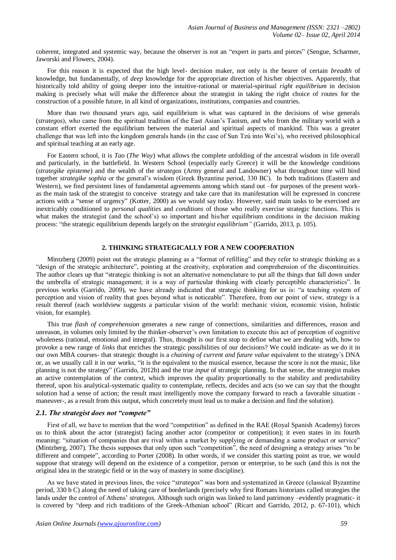coherent, integrated and systemic way, because the observer is not an "expert in parts and pieces" (Sengue, Scharmer, Jaworski and Flowers, 2004).

For this reason it is expected that the high level- decision maker, not only is the bearer of certain *breadth* of knowledge, but fundamentally, of *deep* knowledge for the appropriate direction of his/her objectives. Apparently, that historically told ability of going deeper into the intuitive-rational or material-spiritual *right equilibrium* in decision making is precisely what will make the difference about the strategist in taking the right choice of routes for the construction of a possible future, in all kind of organizations, institutions, companies and countries.

More than two thousand years ago, said equilibrium is what was captured in the decisions of wise generals (*strategos*), who came from the spiritual tradition of the East Asian's Taoism, and who from the military world with a constant effort exerted the equilibrium between the material and spiritual aspects of mankind. This was a greater challenge that was left into the kingdom generals hands (in the case of Sun Tzú into Wei's), who received philosophical and spiritual teaching at an early age.

For Eastern school, it is *Tao* (*The Way*) what allows the complete unfolding of the ancestral wisdom in life overall and particularly, in the battlefield. In Western School (especially early Greece) it will be the knowledge conditions (*strategike episteme*) and the wealth of the *strategos* (Army general and Landowner) what throughout time will bind together *strategike sophia* or the general's wisdom (Greek Byzantine period, 330 BC). In both traditions (Eastern and Western), we find persistent lines of fundamental agreements among which stand out –for purposes of the present workas the main task of the strategist to conceive strategy and take care that its manifestation will be expressed in concrete actions with a "sense of urgency" (Kotter, 2000) as we would say today. However, said main tasks to be exercised are inextricably conditioned to *personal qualities* and *conditions* of those who really exercise strategic functions. This is what makes the strategist (and the school's) so important and his/her equilibrium conditions in the decision making process: "the strategic equilibrium depends largely on the *strategist equilibrium"* (Garrido, 2013, p. 105).

# **2. THINKING STRATEGICALLY FOR A NEW COOPERATION**

Mintzberg (2009) point out the strategic planning as a "format of refilling" and they refer to strategic thinking as a "design of the strategic architecture", pointing at the creativity, exploration and comprehension of the discontinuities. The author clears up that "strategic thinking is not an alternative nomenclature to put all the things that fall down under the umbrella of strategic management; it is a way of particular thinking with clearly perceptible characteristics". In previous works (Garrido, 2009), we have already indicated that strategic thinking for us is: "a teaching system of perception and vision of reality that goes beyond what is noticeable". Therefore, from our point of view, strategy is a result thereof (each worldview suggests a particular vision of the world: mechanic vision, economic vision, holistic vision, for example).

This true *flash of comprehension* generates a new range of connections, similarities and differences, reason and unreason, in volumes only limited by the thinker-observer's own limitation to execute this act of perception of cognitive wholeness (rational, emotional and integral). Thus, thought is our first stop to define what we are dealing with, how to provoke a new range of *links* that enriches the strategic possibilities of our decisions? We could indicate- as we do it in our own MBA courses- that strategic thought is a *chaining of current and future value* equivalent to the strategy´s DNA or, as we usually call it in our works, "it is the equivalent to the musical essence, because the score is not the music, like planning is not the strategy" (Garrido, 2012b) and the true *input* of strategic planning. In that sense, the strategist makes an active contemplation of the context, which improves the quality proportionally to the stability and predictability thereof, upon his analytical-systematic quality to contemplate, reflects, decides and acts (so we can say that the thought solution had a sense of action; the result must intelligently move the company forward to reach a favorable situation maneuver-, as a result from this output, which concretely must lead us to make a decision and find the solution).

### *2.1. The strategist does not "compete"*

First of all, we have to mention that the word "competition" as defined in the RAE (Royal Spanish Academy) forces us to think about the actor (strategist) facing another actor (competitor or competition); it even states in its fourth meaning: "situation of companies that are rival within a market by supplying or demanding a same product or service" (Mintzberg, 2007). The thesis supposes that only upon such "competition", the need of designing a strategy arises "to be different and compete", according to Porter (2008). In other words, if we consider this starting point as true, we would suppose that strategy will depend on the existence of a competitor, person or enterprise, to be such (and this is not the original idea in the strategic field or in the way of mastery in some discipline).

As we have stated in previous lines, the voice "*strategos*" was born and systematized in Greece (classical Byzantine period, 330 b C) along the need of taking care of borderlands (precisely why first Romans historians called strategies the lands under the control of Athens' *strategos*. Although such origin was linked to land patrimony –evidently pragmatic- it is covered by "deep and rich traditions of the Greek-Athenian school" (Ricart and Garrido, 2012, p. 67-101), which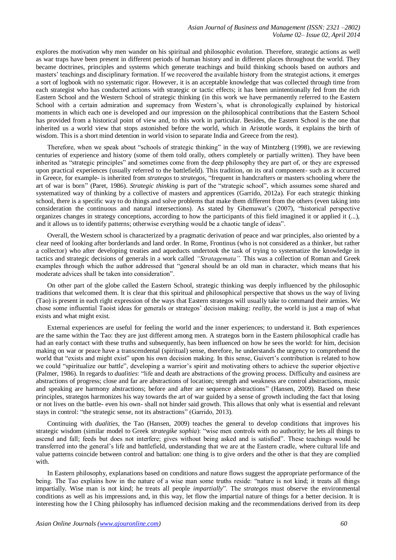explores the motivation why men wander on his spiritual and philosophic evolution. Therefore, strategic actions as well as war traps have been present in different periods of human history and in different places throughout the world. They became doctrines, principles and systems which generate teachings and build thinking schools based on authors and masters' teachings and disciplinary formation. If we recovered the available history from the strategist actions, it emerges a sort of logbook with no systematic rigor. However, it is an acceptable knowledge that was collected through time from each strategist who has conducted actions with strategic or tactic effects; it has been unintentionally fed from the rich Eastern School and the Western School of strategic thinking (in this work we have permanently referred to the Eastern School with a certain admiration and supremacy from Western's, what is chronologically explained by historical moments in which each one is developed and our impression on the philosophical contributions that the Eastern School has provided from a historical point of view and, to this work in particular. Besides, the Eastern School is the one that inherited us a world view that stops astonished before the world, which in Aristotle words, it explains the birth of wisdom. This is a short mind detention in world vision to separate India and Greece from the rest).

Therefore, when we speak about "schools of strategic thinking" in the way of Mintzberg (1998), we are reviewing centuries of experience and history (some of them told orally, others completely or partially written). They have been inherited as "strategic principles" and sometimes come from the deep philosophy they are part of, or they are expressed upon practical experiences (usually referred to the battlefield). This tradition, on its oral component- such as it occurred in Greece, for example- is inherited from *strategos* to *strategos*, "frequent in handcrafters or masters schooling where the art of war is born" (Paret, 1986). *Strategic thinking* is part of the "strategic school", which assumes some shared and systematized way of thinking by a collective of masters and apprentices (Garrido, 2012a). For each strategic thinking school, there is a specific way to do things and solve problems that make them different from the others (even taking into consideration the continuous and natural intersections). As stated by Ghemawat's (2007), "historical perspective organizes changes in strategy conceptions, according to how the participants of this field imagined it or applied it (...), and it allows us to identify patterns; otherwise everything would be a chaotic tangle of ideas".

Overall, the Western school is characterized by a pragmatic derivation of peace and war principles, also oriented by a clear need of looking after borderlands and land order. In Rome, Frontinus (who is not considered as a thinker, but rather a collector) who after developing treaties and aqueducts undertook the task of trying to systematize the knowledge in tactics and strategic decisions of generals in a work called *"Stratagemata".* This was a collection of Roman and Greek examples through which the author addressed that "general should be an old man in character, which means that his moderate advices shall be taken into consideration".

On other part of the globe called the Eastern School, strategic thinking was deeply influenced by the philosophic traditions that welcomed them. It is clear that this spiritual and philosophical perspective that shows us the way of living (Tao) is present in each right expression of the ways that Eastern strategos will usually take to command their armies. We chose some influential Taoist ideas for generals or strategos' decision making: *reality*, the world is just a map of what exists and what might exist.

External experiences are useful for feeling the world and the inner experiences; to understand it. Both experiences are the same within the Tao: they are just different among men. A strategos born in the Eastern philosophical cradle has had an early contact with these truths and subsequently, has been influenced on how he sees the world: for him, decision making on war or peace have a transcendental (spiritual) sense, therefore, he understands the urgency to comprehend the world that "exists and might exist" upon his own decision making. In this sense, Guivert's contribution is related to how we could "spiritualize our battle", developing a warrior's spirit and motivating others to achieve the superior objective (Palmer, 1986). In regards to *dualities*: "life and death are abstractions of the growing process. Difficulty and easiness are abstractions of progress; close and far are abstractions of location; strength and weakness are control abstractions, music and speaking are harmony abstractions; before and after are sequence abstractions" (Hansen, 2009). Based on these principles, strategos harmonizes his way towards the art of war guided by a sense of growth including the fact that losing or not lives on the battle- even his own- shall not hinder said growth. This allows that only what is essential and relevant stays in control: "the strategic sense, not its abstractions" (Garrido, 2013).

Continuing with *dualities*, the Tao (Hansen, 2009) teaches the general to develop conditions that improves his strategic wisdom (similar model to Greek *strategike sophia*): "wise men controls with no authority; he lets all things to ascend and fall; feeds but does not interfere; gives without being asked and is satisfied". These teachings would be transferred into the general's life and battlefield, understanding that we are at the Eastern cradle, where cultural life and value patterns coincide between control and battalion: one thing is to give orders and the other is that they are complied with.

In Eastern philosophy, explanations based on conditions and nature flows suggest the appropriate performance of the being. The Tao explains how in the nature of a wise man some truths reside: "nature is not kind; it treats all things impartially. Wise man is not kind; he treats all people *impartially*". The *strategos* must observe the environmental conditions as well as his impressions and, in this way, let flow the impartial nature of things for a better decision. It is interesting how the I Ching philosophy has influenced decision making and the recommendations derived from its deep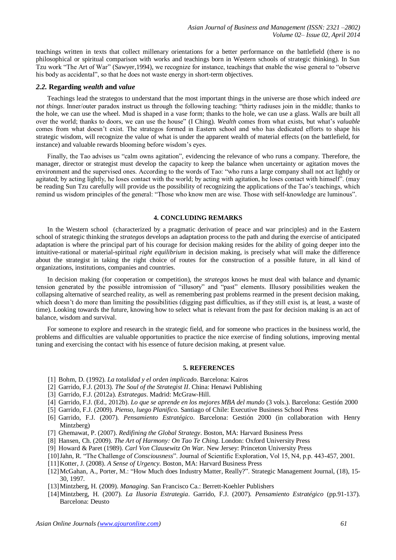teachings written in texts that collect millenary orientations for a better performance on the battlefield (there is no philosophical or spiritual comparison with works and teachings born in Western schools of strategic thinking). In Sun Tzu work "The Art of War" (Sawyer,1994), we recognize for instance, teachings that enable the wise general to "observe his body as accidental", so that he does not waste energy in short-term objectives.

#### *2.2.* **Regarding** *wealth* **and** *value*

Teachings lead the strategos to understand that the most important things in the universe are those which indeed *are not things*. Inner/outer paradox instruct us through the following teaching: "thirty radiuses join in the middle; thanks to the hole, we can use the wheel. Mud is shaped in a vase form; thanks to the hole, we can use a glass. Walls are built all over the world; thanks to doors, we can use the house" (I Ching). *Wealth* comes from what exists, but what's *valuable* comes from what doesn't exist. The strategos formed in Eastern school and who has dedicated efforts to shape his strategic wisdom, will recognize the value of what is under the apparent wealth of material effects (on the battlefield, for instance) and valuable rewards blooming before wisdom's eyes.

Finally, the Tao advises us "calm owns agitation", evidencing the relevance of who runs a company. Therefore, the manager, director or strategist must develop the capacity to keep the balance when uncertainty or agitation moves the environment and the supervised ones. According to the words of Tao: "who runs a large company shall not act lightly or agitated; by acting lightly, he loses contact with the world; by acting with agitation, he loses contact with himself". (may be reading Sun Tzu carefully will provide us the possibility of recognizing the applications of the Tao's teachings, which remind us wisdom principles of the general: "Those who know men are wise. Those with self-knowledge are luminous".

## **4. CONCLUDING REMARKS**

In the Western school (characterized by a pragmatic derivation of peace and war principles) and in the Eastern school of strategic thinking the *strategos* develops an adaptation process to the path and during the exercise of anticipated adaptation is where the principal part of his courage for decision making resides for the ability of going deeper into the intuitive-rational or material-spiritual *right equilibrium* in decision making, is precisely what will make the difference about the strategist in taking the right choice of routes for the construction of a possible future, in all kind of organizations, institutions, companies and countries.

In decision making (for cooperation or competition), the *strategos* knows he must deal with balance and dynamic tension generated by the possible intromission of "illusory" and "past" elements. Illusory possibilities weaken the collapsing alternative of searched reality, as well as remembering past problems rearmed in the present decision making, which doesn't do more than limiting the possibilities (digging past difficulties, as if they still exist is, at least, a waste of time). Looking towards the future, knowing how to select what is relevant from the past for decision making is an act of balance, wisdom and survival.

For someone to explore and research in the strategic field, and for someone who practices in the business world, the problems and difficulties are valuable opportunities to practice the nice exercise of finding solutions, improving mental tuning and exercising the contact with his essence of future decision making, at present value.

#### **5. REFERENCES**

- [1] Bohm, D. (1992). *La totalidad y el orden implicado*. Barcelona: Kairos
- [2] Garrido, F.J. (2013). *The Soul of the Strategist II*. China: Henawi Publishing
- [3] Garrido, F.J. (2012a). *Estrategas*. Madrid: McGraw-Hill.
- [4] Garrido, F.J. (Ed., 2012b). *Lo que se aprende en los mejores MBA del mundo* (3 vols.). Barcelona: Gestión 2000
- [5] Garrido, F.J. (2009). *Pienso, luego Planifico*. Santiago of Chile: Executive Business School Press
- [6] Garrido, F.J. (2007). *Pensamiento Estratégico*. Barcelona: Gestión 2000 (in collaboration with Henry Mintzberg)
- [7] Ghemawat, P. (2007). *Redifining the Global Strategy*. Boston, MA: Harvard Business Press
- [8] Hansen, Ch. (2009). *The Art of Harmony: On Tao Te Ching*. London: Oxford University Press
- [9] Howard & Paret (1989). *Carl Von Clausewitz On War.* New Jersey: Princeton University Press
- [10]Jahn, R. "The Challenge of *Consciousness*". Journal of Scientific Exploration, Vol 15, N4, p.p. 443-457, 2001.
- [11]Kotter, J. (2008). *A Sense of Urgency.* Boston, MA: Harvard Business Press
- [12]McGahan, A., Porter, M.: "How Much does Industry Matter, Really?". Strategic Management Journal, (18), 15- 30, 1997.
- [13]Mintzberg, H. (2009). *Managing*. San Francisco Ca.: Berrett-Koehler Publishers
- [14]Mintzberg, H. (2007). *La Ilusoria Estrategia*. Garrido, F.J. (2007). *Pensamiento Estratégico* (pp.91-137). Barcelona: Deusto